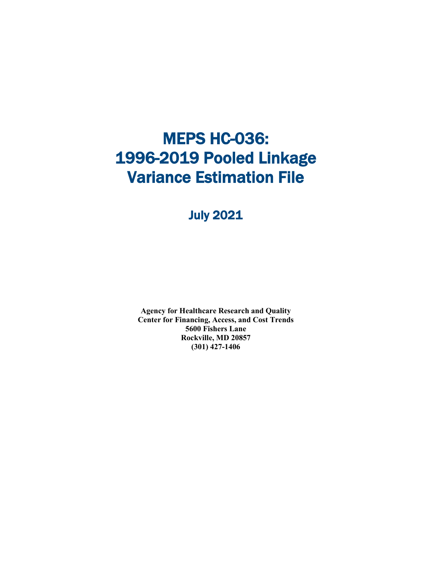# **MEPS HC-036:** 1996-2019 Pooled Linkage Variance Estimation File

### July 2021

**Agency for Healthcare Research and Quality Center for Financing, Access, and Cost Trends 5600 Fishers Lane Rockville, MD 20857 (301) 427-1406**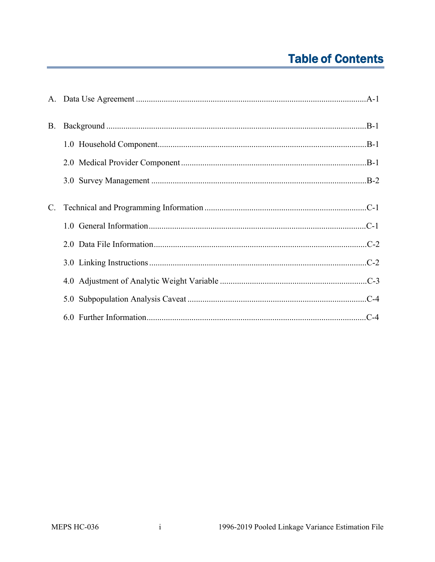### **Table of Contents**

| <b>B.</b>      |  |
|----------------|--|
|                |  |
|                |  |
|                |  |
| $\mathbf{C}$ . |  |
|                |  |
|                |  |
|                |  |
|                |  |
|                |  |
|                |  |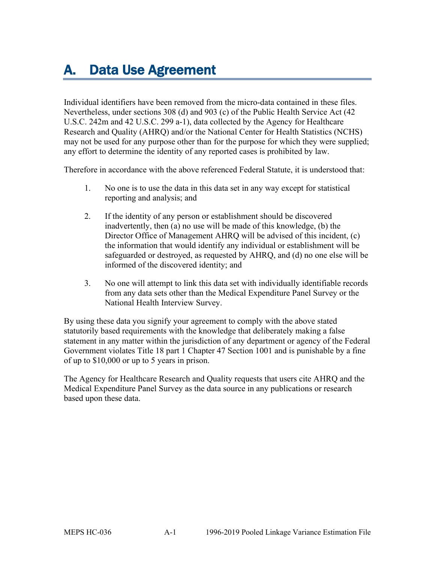# <span id="page-2-0"></span>A. Data Use Agreement

Individual identifiers have been removed from the micro-data contained in these files. Nevertheless, under sections 308 (d) and 903 (c) of the Public Health Service Act (42 U.S.C. 242m and 42 U.S.C. 299 a-1), data collected by the Agency for Healthcare Research and Quality (AHRQ) and/or the National Center for Health Statistics (NCHS) may not be used for any purpose other than for the purpose for which they were supplied; any effort to determine the identity of any reported cases is prohibited by law.

Therefore in accordance with the above referenced Federal Statute, it is understood that:

- 1. No one is to use the data in this data set in any way except for statistical reporting and analysis; and
- 2. If the identity of any person or establishment should be discovered inadvertently, then (a) no use will be made of this knowledge, (b) the Director Office of Management AHRQ will be advised of this incident, (c) the information that would identify any individual or establishment will be safeguarded or destroyed, as requested by AHRQ, and (d) no one else will be informed of the discovered identity; and
- 3. No one will attempt to link this data set with individually identifiable records from any data sets other than the Medical Expenditure Panel Survey or the National Health Interview Survey.

By using these data you signify your agreement to comply with the above stated statutorily based requirements with the knowledge that deliberately making a false statement in any matter within the jurisdiction of any department or agency of the Federal Government violates Title 18 part 1 Chapter 47 Section 1001 and is punishable by a fine of up to \$10,000 or up to 5 years in prison.

The Agency for Healthcare Research and Quality requests that users cite AHRQ and the Medical Expenditure Panel Survey as the data source in any publications or research based upon these data.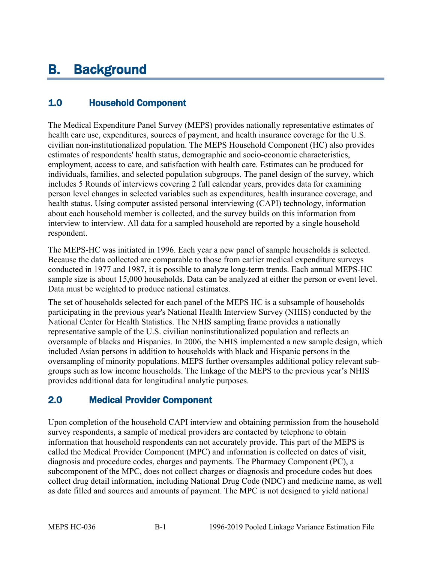## <span id="page-3-0"></span>B. Background

#### <span id="page-3-1"></span>1.0 Household Component

The Medical Expenditure Panel Survey (MEPS) provides nationally representative estimates of health care use, expenditures, sources of payment, and health insurance coverage for the U.S. civilian non-institutionalized population. The MEPS Household Component (HC) also provides estimates of respondents' health status, demographic and socio-economic characteristics, employment, access to care, and satisfaction with health care. Estimates can be produced for individuals, families, and selected population subgroups. The panel design of the survey, which includes 5 Rounds of interviews covering 2 full calendar years, provides data for examining person level changes in selected variables such as expenditures, health insurance coverage, and health status. Using computer assisted personal interviewing (CAPI) technology, information about each household member is collected, and the survey builds on this information from interview to interview. All data for a sampled household are reported by a single household respondent.

The MEPS-HC was initiated in 1996. Each year a new panel of sample households is selected. Because the data collected are comparable to those from earlier medical expenditure surveys conducted in 1977 and 1987, it is possible to analyze long-term trends. Each annual MEPS-HC sample size is about 15,000 households. Data can be analyzed at either the person or event level. Data must be weighted to produce national estimates.

The set of households selected for each panel of the MEPS HC is a subsample of households participating in the previous year's National Health Interview Survey (NHIS) conducted by the National Center for Health Statistics. The NHIS sampling frame provides a nationally representative sample of the U.S. civilian noninstitutionalized population and reflects an oversample of blacks and Hispanics. In 2006, the NHIS implemented a new sample design, which included Asian persons in addition to households with black and Hispanic persons in the oversampling of minority populations. MEPS further oversamples additional policy relevant subgroups such as low income households. The linkage of the MEPS to the previous year's NHIS provides additional data for longitudinal analytic purposes.

#### <span id="page-3-2"></span>2.0 Medical Provider Component

Upon completion of the household CAPI interview and obtaining permission from the household survey respondents, a sample of medical providers are contacted by telephone to obtain information that household respondents can not accurately provide. This part of the MEPS is called the Medical Provider Component (MPC) and information is collected on dates of visit, diagnosis and procedure codes, charges and payments. The Pharmacy Component (PC), a subcomponent of the MPC, does not collect charges or diagnosis and procedure codes but does collect drug detail information, including National Drug Code (NDC) and medicine name, as well as date filled and sources and amounts of payment. The MPC is not designed to yield national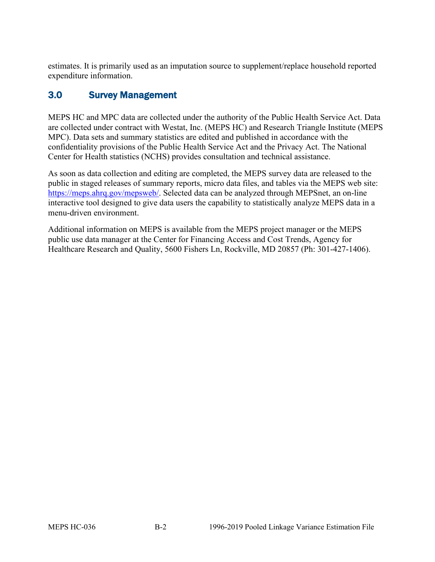estimates. It is primarily used as an imputation source to supplement/replace household reported expenditure information.

#### <span id="page-4-0"></span>3.0 Survey Management

MEPS HC and MPC data are collected under the authority of the Public Health Service Act. Data are collected under contract with Westat, Inc. (MEPS HC) and Research Triangle Institute (MEPS MPC). Data sets and summary statistics are edited and published in accordance with the confidentiality provisions of the Public Health Service Act and the Privacy Act. The National Center for Health statistics (NCHS) provides consultation and technical assistance.

As soon as data collection and editing are completed, the MEPS survey data are released to the public in staged releases of summary reports, micro data files, and tables via the MEPS web site: [https://meps.ahrq.gov/mepsweb/.](https://meps.ahrq.gov/mepsweb/) Selected data can be analyzed through MEPSnet, an on-line interactive tool designed to give data users the capability to statistically analyze MEPS data in a menu-driven environment.

Additional information on MEPS is available from the MEPS project manager or the MEPS public use data manager at the Center for Financing Access and Cost Trends, Agency for Healthcare Research and Quality, 5600 Fishers Ln, Rockville, MD 20857 (Ph: 301-427-1406).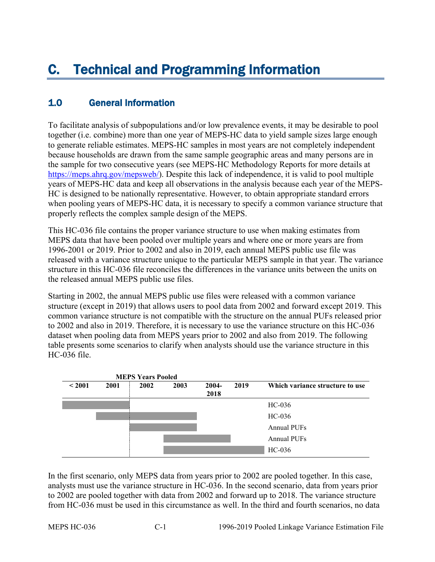#### <span id="page-5-1"></span><span id="page-5-0"></span>1.0 General Information

To facilitate analysis of subpopulations and/or low prevalence events, it may be desirable to pool together (i.e. combine) more than one year of MEPS-HC data to yield sample sizes large enough to generate reliable estimates. MEPS-HC samples in most years are not completely independent because households are drawn from the same sample geographic areas and many persons are in the sample for two consecutive years (see MEPS-HC Methodology Reports for more details at [https://meps.ahrq.gov/mepsweb/\)](https://meps.ahrq.gov/mepsweb/). Despite this lack of independence, it is valid to pool multiple years of MEPS-HC data and keep all observations in the analysis because each year of the MEPS-HC is designed to be nationally representative. However, to obtain appropriate standard errors when pooling years of MEPS-HC data, it is necessary to specify a common variance structure that properly reflects the complex sample design of the MEPS.

This HC-036 file contains the proper variance structure to use when making estimates from MEPS data that have been pooled over multiple years and where one or more years are from 1996-2001 or 2019. Prior to 2002 and also in 2019, each annual MEPS public use file was released with a variance structure unique to the particular MEPS sample in that year. The variance structure in this HC-036 file reconciles the differences in the variance units between the units on the released annual MEPS public use files.

Starting in 2002, the annual MEPS public use files were released with a common variance structure (except in 2019) that allows users to pool data from 2002 and forward except 2019. This common variance structure is not compatible with the structure on the annual PUFs released prior to 2002 and also in 2019. Therefore, it is necessary to use the variance structure on this HC-036 dataset when pooling data from MEPS years prior to 2002 and also from 2019. The following table presents some scenarios to clarify when analysts should use the variance structure in this HC-036 file.

| <b>MEPS Years Pooled</b> |      |      |      |                  |      |                                 |
|--------------------------|------|------|------|------------------|------|---------------------------------|
| ~12001                   | 2001 | 2002 | 2003 | $2004 -$<br>2018 | 2019 | Which variance structure to use |
|                          |      |      |      |                  |      | $HC-036$                        |
|                          |      |      |      |                  |      | $HC-036$                        |
|                          |      |      |      |                  |      | Annual PUFs                     |
|                          |      |      |      |                  |      | <b>Annual PUFs</b>              |
|                          |      |      |      |                  |      | HC-036                          |

In the first scenario, only MEPS data from years prior to 2002 are pooled together. In this case, analysts must use the variance structure in HC-036. In the second scenario, data from years prior to 2002 are pooled together with data from 2002 and forward up to 2018. The variance structure from HC-036 must be used in this circumstance as well. In the third and fourth scenarios, no data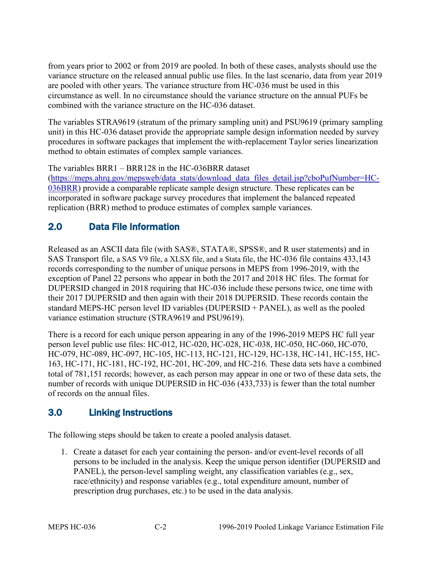from years prior to 2002 or from 2019 are pooled. In both of these cases, analysts should use the variance structure on the released annual public use files. In the last scenario, data from year 2019 are pooled with other years. The variance structure from HC-036 must be used in this circumstance as well. In no circumstance should the variance structure on the annual PUFs be combined with the variance structure on the HC-036 dataset.

The variables STRA9619 (stratum of the primary sampling unit) and PSU9619 (primary sampling unit) in this HC-036 dataset provide the appropriate sample design information needed by survey procedures in software packages that implement the with-replacement Taylor series linearization method to obtain estimates of complex sample variances.

The variables BRR1 – BRR128 in the HC-036BRR dataset

[\(https://meps.ahrq.gov/mepsweb/data\\_stats/download\\_data\\_files\\_detail.jsp?cboPufNumber=HC-](https://meps.ahrq.gov/mepsweb/data_stats/download_data_files_detail.jsp?cboPufNumber=HC-036BRR)[036BRR\)](https://meps.ahrq.gov/mepsweb/data_stats/download_data_files_detail.jsp?cboPufNumber=HC-036BRR) provide a comparable replicate sample design structure. These replicates can be incorporated in software package survey procedures that implement the balanced repeated replication (BRR) method to produce estimates of complex sample variances.

#### <span id="page-6-0"></span>2.0 Data File Information

Released as an ASCII data file (with SAS®, STATA®, SPSS®, and R user statements) and in SAS Transport file, a SAS V9 file, a XLSX file, and a Stata file, the HC-036 file contains 433,143 records corresponding to the number of unique persons in MEPS from 1996-2019, with the exception of Panel 22 persons who appear in both the 2017 and 2018 HC files. The format for DUPERSID changed in 2018 requiring that HC-036 include these persons twice, one time with their 2017 DUPERSID and then again with their 2018 DUPERSID. These records contain the standard MEPS-HC person level ID variables (DUPERSID + PANEL), as well as the pooled variance estimation structure (STRA9619 and PSU9619).

There is a record for each unique person appearing in any of the 1996-2019 MEPS HC full year person level public use files: HC-012, HC-020, HC-028, HC-038, HC-050, HC-060, HC-070, HC-079, HC-089, HC-097, HC-105, HC-113, HC-121, HC-129, HC-138, HC-141, HC-155, HC-163, HC-171, HC-181, HC-192, HC-201, HC-209, and HC-216. These data sets have a combined total of 781,151 records; however, as each person may appear in one or two of these data sets, the number of records with unique DUPERSID in HC-036 (433,733) is fewer than the total number of records on the annual files.

#### <span id="page-6-1"></span>3.0 Linking Instructions

The following steps should be taken to create a pooled analysis dataset.

1. Create a dataset for each year containing the person- and/or event-level records of all persons to be included in the analysis. Keep the unique person identifier (DUPERSID and PANEL), the person-level sampling weight, any classification variables (e.g., sex, race/ethnicity) and response variables (e.g., total expenditure amount, number of prescription drug purchases, etc.) to be used in the data analysis.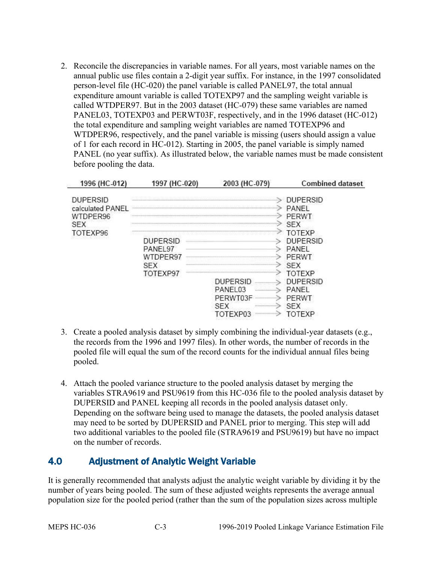2. Reconcile the discrepancies in variable names. For all years, most variable names on the annual public use files contain a 2-digit year suffix. For instance, in the 1997 consolidated person-level file (HC-020) the panel variable is called PANEL97, the total annual expenditure amount variable is called TOTEXP97 and the sampling weight variable is called WTDPER97. But in the 2003 dataset (HC-079) these same variables are named PANEL03, TOTEXP03 and PERWT03F, respectively, and in the 1996 dataset (HC-012) the total expenditure and sampling weight variables are named TOTEXP96 and WTDPER96, respectively, and the panel variable is missing (users should assign a value of 1 for each record in HC-012). Starting in 2005, the panel variable is simply named PANEL (no year suffix). As illustrated below, the variable names must be made consistent before pooling the data.

| 1996 (HC-012)                                                             | 1997 (HC-020)                                                                             | 2003 (HC-079)                                                                                                                                                                                    | <b>Combined dataset</b>                                                                                                                                                                    |
|---------------------------------------------------------------------------|-------------------------------------------------------------------------------------------|--------------------------------------------------------------------------------------------------------------------------------------------------------------------------------------------------|--------------------------------------------------------------------------------------------------------------------------------------------------------------------------------------------|
| <b>DUPERSID</b><br>calculated PANEL<br>WTDPER96<br><b>SEX</b><br>TOTEXP96 | DUPERSID<br>PANEL <sub>97</sub><br>WTDPER97<br>,,,,,,,,,,,,,,,,<br><b>SEX</b><br>TOTEXP97 | <br>,,,,,,,,,,,,,,,,,,,,,,,,,,,,,,,,,,,,,,<br><br><b>DUPERSID</b><br>,,,,,,,,,,,,,,,,,,,,,,<br>PANEL03<br>PERWT03F<br>1100000000000000000000<br><b>SEX</b><br>TOTEXP03<br>1000000000000000000000 | <b>DUPERSID</b><br>PANEL<br><b>PERWT</b><br><b>SEX</b><br><b>TOTEXP</b><br><b>DUPERSID</b><br>PANEL<br>PERWT<br>SEX<br>TOTEXP<br><b>DUPERSID</b><br>PANEL<br>PERWT<br><b>SEX</b><br>TOTEXP |

- 3. Create a pooled analysis dataset by simply combining the individual-year datasets (e.g., the records from the 1996 and 1997 files). In other words, the number of records in the pooled file will equal the sum of the record counts for the individual annual files being pooled.
- 4. Attach the pooled variance structure to the pooled analysis dataset by merging the variables STRA9619 and PSU9619 from this HC-036 file to the pooled analysis dataset by DUPERSID and PANEL keeping all records in the pooled analysis dataset only. Depending on the software being used to manage the datasets, the pooled analysis dataset may need to be sorted by DUPERSID and PANEL prior to merging. This step will add two additional variables to the pooled file (STRA9619 and PSU9619) but have no impact on the number of records.

#### <span id="page-7-0"></span>4.0 Adjustment of Analytic Weight Variable

It is generally recommended that analysts adjust the analytic weight variable by dividing it by the number of years being pooled. The sum of these adjusted weights represents the average annual population size for the pooled period (rather than the sum of the population sizes across multiple